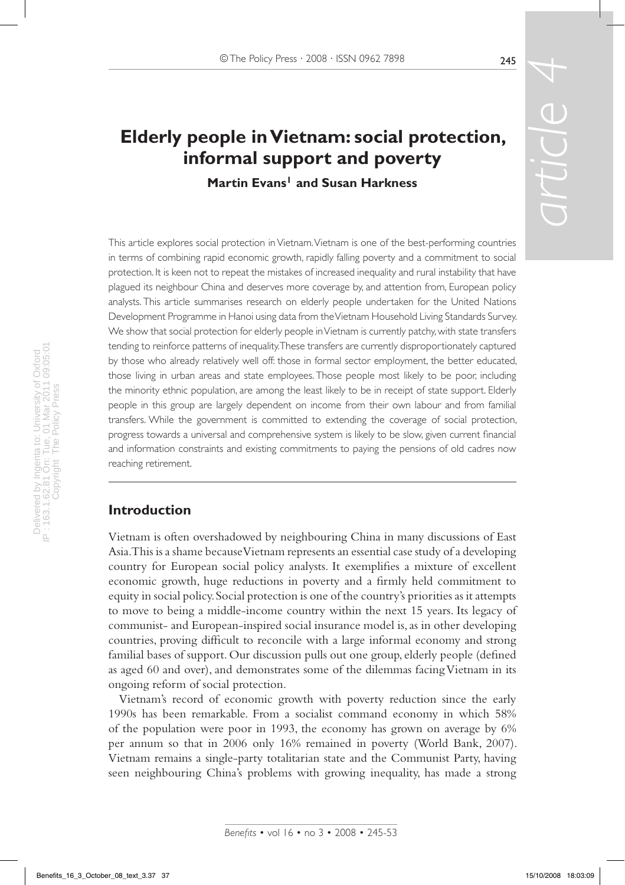# **Elderly people in Vietnam: social protection, informal support and poverty**

**Martin Evans<sup>1</sup> and Susan Harkness** 

*article*

This article explores social protection in Vietnam. Vietnam is one of the best-performing countries in terms of combining rapid economic growth, rapidly falling poverty and a commitment to social protection. It is keen not to repeat the mistakes of increased inequality and rural instability that have plagued its neighbour China and deserves more coverage by, and attention from, European policy analysts. This article summarises research on elderly people undertaken for the United Nations Development Programme in Hanoi using data from the Vietnam Household Living Standards Survey. We show that social protection for elderly people in Vietnam is currently patchy, with state transfers tending to reinforce patterns of inequality. These transfers are currently disproportionately captured by those who already relatively well off: those in formal sector employment, the better educated, those living in urban areas and state employees. Those people most likely to be poor, including the minority ethnic population, are among the least likely to be in receipt of state support. Elderly people in this group are largely dependent on income from their own labour and from familial transfers. While the government is committed to extending the coverage of social protection, progress towards a universal and comprehensive system is likely to be slow, given current financial and information constraints and existing commitments to paying the pensions of old cadres now reaching retirement.

## **Introduction**

Vietnam is often overshadowed by neighbouring China in many discussions of East Asia. This is a shame because Vietnam represents an essential case study of a developing country for European social policy analysts. It exemplifies a mixture of excellent economic growth, huge reductions in poverty and a firmly held commitment to equity in social policy. Social protection is one of the country's priorities as it attempts to move to being a middle-income country within the next 15 years. Its legacy of communist- and European-inspired social insurance model is, as in other developing countries, proving difficult to reconcile with a large informal economy and strong familial bases of support. Our discussion pulls out one group, elderly people (defined as aged 60 and over), and demonstrates some of the dilemmas facing Vietnam in its ongoing reform of social protection.

Vietnam's record of economic growth with poverty reduction since the early 1990s has been remarkable. From a socialist command economy in which 58% of the population were poor in 1993, the economy has grown on average by 6% per annum so that in 2006 only 16% remained in poverty (World Bank, 2007). Vietnam remains a single-party totalitarian state and the Communist Party, having seen neighbouring China's problems with growing inequality, has made a strong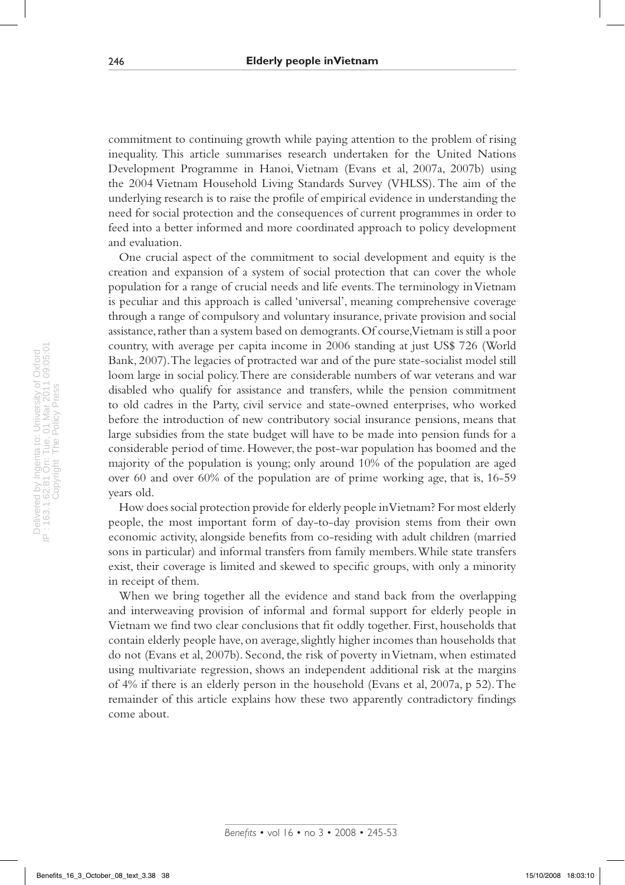commitment to continuing growth while paying attention to the problem of rising inequality. This article summarises research undertaken for the United Nations Development Programme in Hanoi, Vietnam (Evans et al, 2007a, 2007b) using the 2004 Vietnam Household Living Standards Survey (VHLSS). The aim of the underlying research is to raise the profile of empirical evidence in understanding the need for social protection and the consequences of current programmes in order to feed into a better informed and more coordinated approach to policy development and evaluation.

One crucial aspect of the commitment to social development and equity is the creation and expansion of a system of social protection that can cover the whole population for a range of crucial needs and life events. The terminology in Vietnam is peculiar and this approach is called 'universal', meaning comprehensive coverage through a range of compulsory and voluntary insurance, private provision and social assistance, rather than a system based on demogrants. Of course, Vietnam is still a poor country, with average per capita income in 2006 standing at just US\$ 726 (World Bank, 2007). The legacies of protracted war and of the pure state-socialist model still loom large in social policy. There are considerable numbers of war veterans and war disabled who qualify for assistance and transfers, while the pension commitment to old cadres in the Party, civil service and state-owned enterprises, who worked before the introduction of new contributory social insurance pensions, means that large subsidies from the state budget will have to be made into pension funds for a considerable period of time. However, the post-war population has boomed and the majority of the population is young; only around 10% of the population are aged over 60 and over 60% of the population are of prime working age, that is, 16-59 years old.

How does social protection provide for elderly people in Vietnam? For most elderly people, the most important form of day-to-day provision stems from their own economic activity, alongside benefits from co-residing with adult children (married sons in particular) and informal transfers from family members. While state transfers exist, their coverage is limited and skewed to specific groups, with only a minority in receipt of them.

When we bring together all the evidence and stand back from the overlapping and interweaving provision of informal and formal support for elderly people in Vietnam we find two clear conclusions that fit oddly together. First, households that contain elderly people have, on average, slightly higher incomes than households that do not (Evans et al, 2007b). Second, the risk of poverty in Vietnam, when estimated using multivariate regression, shows an independent additional risk at the margins of 4% if there is an elderly person in the household (Evans et al, 2007a, p 52). The remainder of this article explains how these two apparently contradictory findings come about.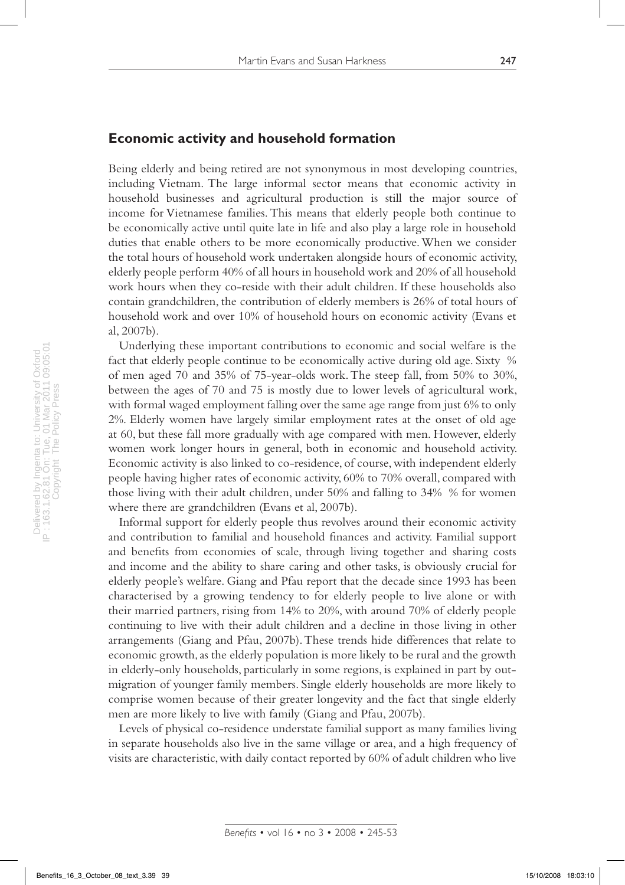#### **Economic activity and household formation**

Being elderly and being retired are not synonymous in most developing countries, including Vietnam. The large informal sector means that economic activity in household businesses and agricultural production is still the major source of income for Vietnamese families. This means that elderly people both continue to be economically active until quite late in life and also play a large role in household duties that enable others to be more economically productive. When we consider the total hours of household work undertaken alongside hours of economic activity, elderly people perform 40% of all hours in household work and 20% of all household work hours when they co-reside with their adult children. If these households also contain grandchildren, the contribution of elderly members is 26% of total hours of household work and over 10% of household hours on economic activity (Evans et al, 2007b).

Underlying these important contributions to economic and social welfare is the fact that elderly people continue to be economically active during old age. Sixty % of men aged 70 and 35% of 75-year-olds work. The steep fall, from 50% to 30%, between the ages of 70 and 75 is mostly due to lower levels of agricultural work, with formal waged employment falling over the same age range from just 6% to only 2%. Elderly women have largely similar employment rates at the onset of old age at 60, but these fall more gradually with age compared with men. However, elderly women work longer hours in general, both in economic and household activity. Economic activity is also linked to co-residence, of course, with independent elderly people having higher rates of economic activity, 60% to 70% overall, compared with those living with their adult children, under 50% and falling to 34% % for women where there are grandchildren (Evans et al, 2007b).

Informal support for elderly people thus revolves around their economic activity and contribution to familial and household finances and activity. Familial support and benefits from economies of scale, through living together and sharing costs and income and the ability to share caring and other tasks, is obviously crucial for elderly people's welfare. Giang and Pfau report that the decade since 1993 has been characterised by a growing tendency to for elderly people to live alone or with their married partners, rising from 14% to 20%, with around 70% of elderly people continuing to live with their adult children and a decline in those living in other arrangements (Giang and Pfau, 2007b). These trends hide differences that relate to economic growth, as the elderly population is more likely to be rural and the growth in elderly-only households, particularly in some regions, is explained in part by outmigration of younger family members. Single elderly households are more likely to comprise women because of their greater longevity and the fact that single elderly men are more likely to live with family (Giang and Pfau, 2007b).

Levels of physical co-residence understate familial support as many families living in separate households also live in the same village or area, and a high frequency of visits are characteristic, with daily contact reported by 60% of adult children who live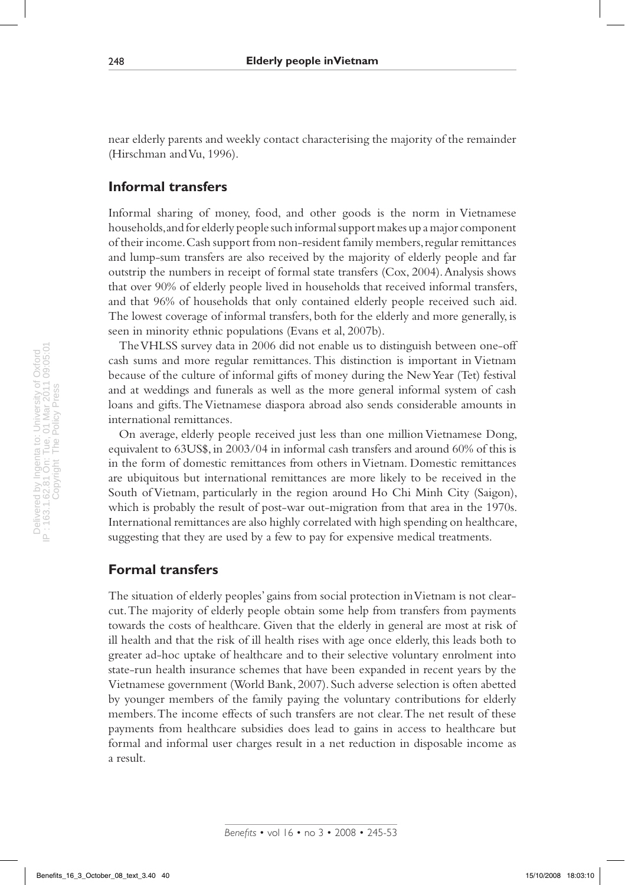near elderly parents and weekly contact characterising the majority of the remainder (Hirschman and Vu, 1996).

#### **Informal transfers**

Informal sharing of money, food, and other goods is the norm in Vietnamese households, and for elderly people such informal support makes up a major component of their income. Cash support from non-resident family members, regular remittances and lump-sum transfers are also received by the majority of elderly people and far outstrip the numbers in receipt of formal state transfers (Cox, 2004). Analysis shows that over 90% of elderly people lived in households that received informal transfers, and that 96% of households that only contained elderly people received such aid. The lowest coverage of informal transfers, both for the elderly and more generally, is seen in minority ethnic populations (Evans et al, 2007b).

The VHLSS survey data in 2006 did not enable us to distinguish between one-off cash sums and more regular remittances. This distinction is important in Vietnam because of the culture of informal gifts of money during the New Year (Tet) festival and at weddings and funerals as well as the more general informal system of cash loans and gifts. The Vietnamese diaspora abroad also sends considerable amounts in international remittances.

On average, elderly people received just less than one million Vietnamese Dong, equivalent to 63US\$, in 2003/04 in informal cash transfers and around 60% of this is in the form of domestic remittances from others in Vietnam. Domestic remittances are ubiquitous but international remittances are more likely to be received in the South of Vietnam, particularly in the region around Ho Chi Minh City (Saigon), which is probably the result of post-war out-migration from that area in the 1970s. International remittances are also highly correlated with high spending on healthcare, suggesting that they are used by a few to pay for expensive medical treatments.

#### **Formal transfers**

The situation of elderly peoples' gains from social protection in Vietnam is not clearcut. The majority of elderly people obtain some help from transfers from payments towards the costs of healthcare. Given that the elderly in general are most at risk of ill health and that the risk of ill health rises with age once elderly, this leads both to greater ad-hoc uptake of healthcare and to their selective voluntary enrolment into state-run health insurance schemes that have been expanded in recent years by the Vietnamese government (World Bank, 2007). Such adverse selection is often abetted by younger members of the family paying the voluntary contributions for elderly members. The income effects of such transfers are not clear. The net result of these payments from healthcare subsidies does lead to gains in access to healthcare but formal and informal user charges result in a net reduction in disposable income as a result.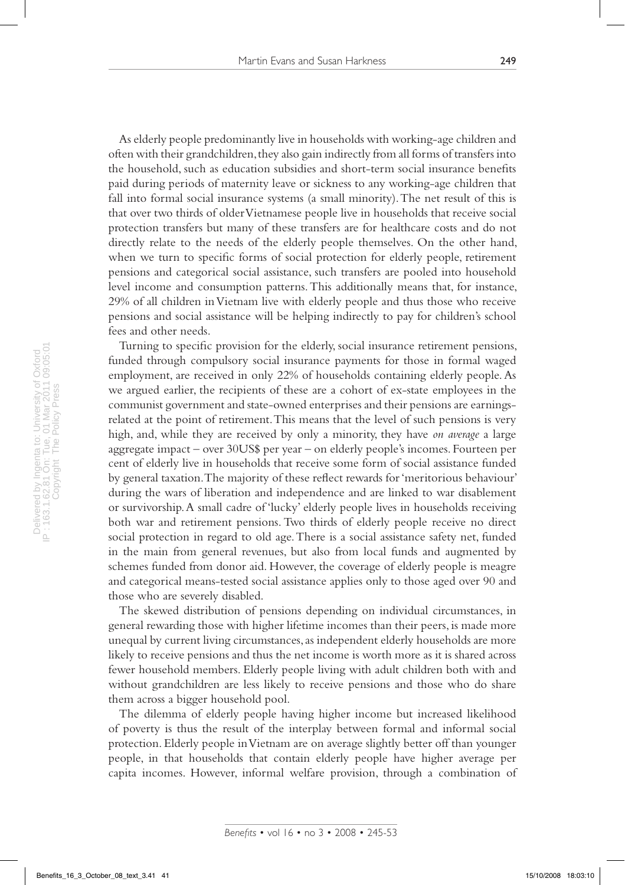As elderly people predominantly live in households with working-age children and often with their grandchildren, they also gain indirectly from all forms of transfers into the household, such as education subsidies and short-term social insurance benefits paid during periods of maternity leave or sickness to any working-age children that fall into formal social insurance systems (a small minority). The net result of this is that over two thirds of older Vietnamese people live in households that receive social protection transfers but many of these transfers are for healthcare costs and do not directly relate to the needs of the elderly people themselves. On the other hand, when we turn to specific forms of social protection for elderly people, retirement pensions and categorical social assistance, such transfers are pooled into household level income and consumption patterns. This additionally means that, for instance, 29% of all children in Vietnam live with elderly people and thus those who receive pensions and social assistance will be helping indirectly to pay for children's school fees and other needs.

Turning to specific provision for the elderly, social insurance retirement pensions, funded through compulsory social insurance payments for those in formal waged employment, are received in only 22% of households containing elderly people. As we argued earlier, the recipients of these are a cohort of ex-state employees in the communist government and state-owned enterprises and their pensions are earningsrelated at the point of retirement. This means that the level of such pensions is very high, and, while they are received by only a minority, they have *on average* a large aggregate impact – over 30US\$ per year – on elderly people's incomes. Fourteen per cent of elderly live in households that receive some form of social assistance funded by general taxation. The majority of these reflect rewards for 'meritorious behaviour' during the wars of liberation and independence and are linked to war disablement or survivorship. A small cadre of 'lucky' elderly people lives in households receiving both war and retirement pensions. Two thirds of elderly people receive no direct social protection in regard to old age. There is a social assistance safety net, funded in the main from general revenues, but also from local funds and augmented by schemes funded from donor aid. However, the coverage of elderly people is meagre and categorical means-tested social assistance applies only to those aged over 90 and those who are severely disabled.

The skewed distribution of pensions depending on individual circumstances, in general rewarding those with higher lifetime incomes than their peers, is made more unequal by current living circumstances, as independent elderly households are more likely to receive pensions and thus the net income is worth more as it is shared across fewer household members. Elderly people living with adult children both with and without grandchildren are less likely to receive pensions and those who do share them across a bigger household pool.

The dilemma of elderly people having higher income but increased likelihood of poverty is thus the result of the interplay between formal and informal social protection. Elderly people in Vietnam are on average slightly better off than younger people, in that households that contain elderly people have higher average per capita incomes. However, informal welfare provision, through a combination of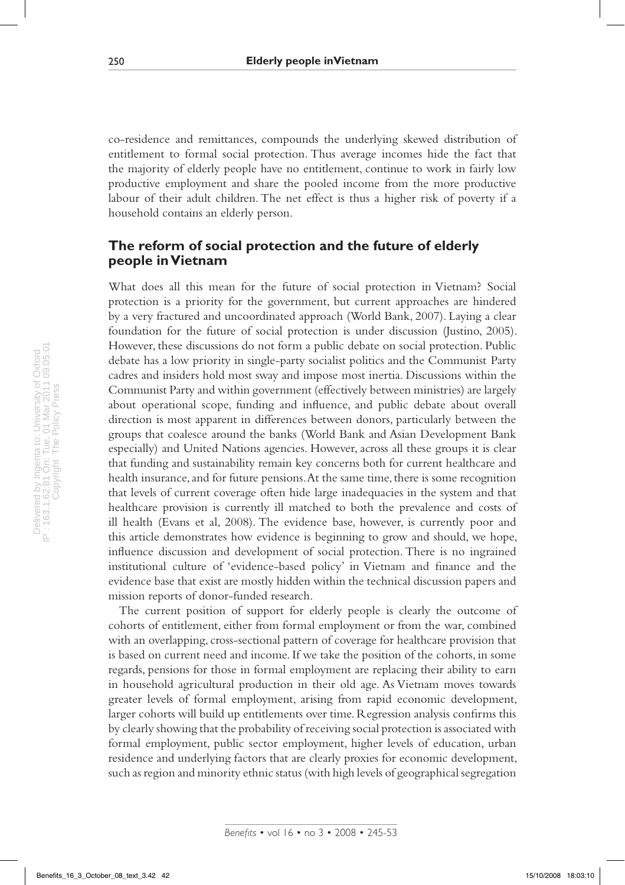co-residence and remittances, compounds the underlying skewed distribution of entitlement to formal social protection. Thus average incomes hide the fact that the majority of elderly people have no entitlement, continue to work in fairly low productive employment and share the pooled income from the more productive labour of their adult children. The net effect is thus a higher risk of poverty if a household contains an elderly person.

### **The reform of social protection and the future of elderly people in Vietnam**

What does all this mean for the future of social protection in Vietnam? Social protection is a priority for the government, but current approaches are hindered by a very fractured and uncoordinated approach (World Bank, 2007). Laying a clear foundation for the future of social protection is under discussion (Justino, 2005). However, these discussions do not form a public debate on social protection. Public debate has a low priority in single-party socialist politics and the Communist Party cadres and insiders hold most sway and impose most inertia. Discussions within the Communist Party and within government (effectively between ministries) are largely about operational scope, funding and influence, and public debate about overall direction is most apparent in differences between donors, particularly between the groups that coalesce around the banks (World Bank and Asian Development Bank especially) and United Nations agencies. However, across all these groups it is clear that funding and sustainability remain key concerns both for current healthcare and health insurance, and for future pensions. At the same time, there is some recognition that levels of current coverage often hide large inadequacies in the system and that healthcare provision is currently ill matched to both the prevalence and costs of ill health (Evans et al, 2008). The evidence base, however, is currently poor and this article demonstrates how evidence is beginning to grow and should, we hope, influence discussion and development of social protection. There is no ingrained institutional culture of 'evidence-based policy' in Vietnam and finance and the evidence base that exist are mostly hidden within the technical discussion papers and mission reports of donor-funded research.

The current position of support for elderly people is clearly the outcome of cohorts of entitlement, either from formal employment or from the war, combined with an overlapping, cross-sectional pattern of coverage for healthcare provision that is based on current need and income. If we take the position of the cohorts, in some regards, pensions for those in formal employment are replacing their ability to earn in household agricultural production in their old age. As Vietnam moves towards greater levels of formal employment, arising from rapid economic development, larger cohorts will build up entitlements over time. Regression analysis confirms this by clearly showing that the probability of receiving social protection is associated with formal employment, public sector employment, higher levels of education, urban residence and underlying factors that are clearly proxies for economic development, such as region and minority ethnic status (with high levels of geographical segregation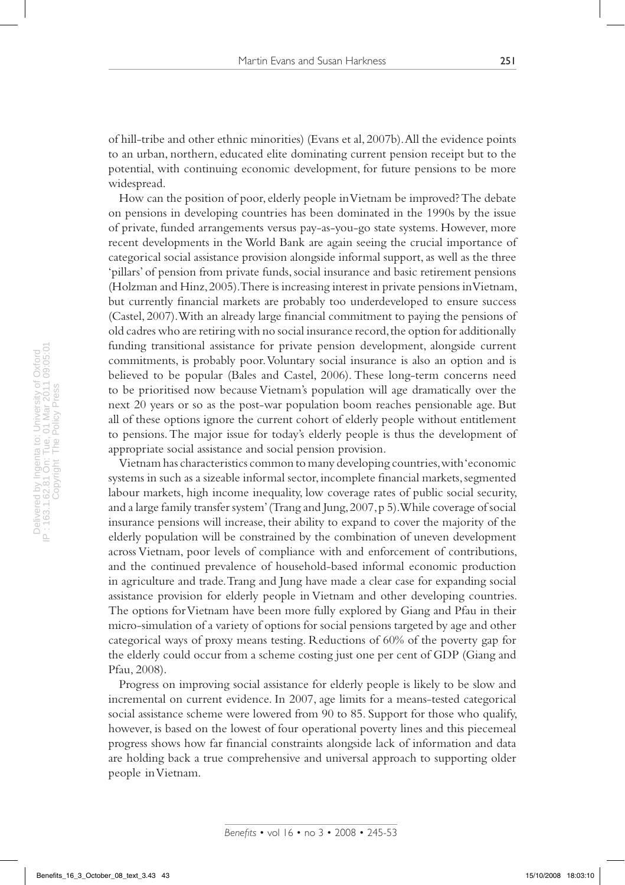of hill-tribe and other ethnic minorities) (Evans et al, 2007b). All the evidence points to an urban, northern, educated elite dominating current pension receipt but to the potential, with continuing economic development, for future pensions to be more widespread.

How can the position of poor, elderly people in Vietnam be improved? The debate on pensions in developing countries has been dominated in the 1990s by the issue of private, funded arrangements versus pay-as-you-go state systems. However, more recent developments in the World Bank are again seeing the crucial importance of categorical social assistance provision alongside informal support, as well as the three 'pillars' of pension from private funds, social insurance and basic retirement pensions (Holzman and Hinz, 2005). There is increasing interest in private pensions in Vietnam, but currently financial markets are probably too underdeveloped to ensure success (Castel, 2007). With an already large financial commitment to paying the pensions of old cadres who are retiring with no social insurance record, the option for additionally funding transitional assistance for private pension development, alongside current commitments, is probably poor. Voluntary social insurance is also an option and is believed to be popular (Bales and Castel, 2006). These long-term concerns need to be prioritised now because Vietnam's population will age dramatically over the next 20 years or so as the post-war population boom reaches pensionable age. But all of these options ignore the current cohort of elderly people without entitlement to pensions. The major issue for today's elderly people is thus the development of appropriate social assistance and social pension provision.

Vietnam has characteristics common to many developing countries, with 'economic systems in such as a sizeable informal sector, incomplete financial markets, segmented labour markets, high income inequality, low coverage rates of public social security, and a large family transfer system' (Trang and Jung, 2007, p 5). While coverage of social insurance pensions will increase, their ability to expand to cover the majority of the elderly population will be constrained by the combination of uneven development across Vietnam, poor levels of compliance with and enforcement of contributions, and the continued prevalence of household-based informal economic production in agriculture and trade. Trang and Jung have made a clear case for expanding social assistance provision for elderly people in Vietnam and other developing countries. The options for Vietnam have been more fully explored by Giang and Pfau in their micro-simulation of a variety of options for social pensions targeted by age and other categorical ways of proxy means testing. Reductions of 60% of the poverty gap for the elderly could occur from a scheme costing just one per cent of GDP (Giang and Pfau, 2008).

Progress on improving social assistance for elderly people is likely to be slow and incremental on current evidence. In 2007, age limits for a means-tested categorical social assistance scheme were lowered from 90 to 85. Support for those who qualify, however, is based on the lowest of four operational poverty lines and this piecemeal progress shows how far financial constraints alongside lack of information and data are holding back a true comprehensive and universal approach to supporting older people in Vietnam.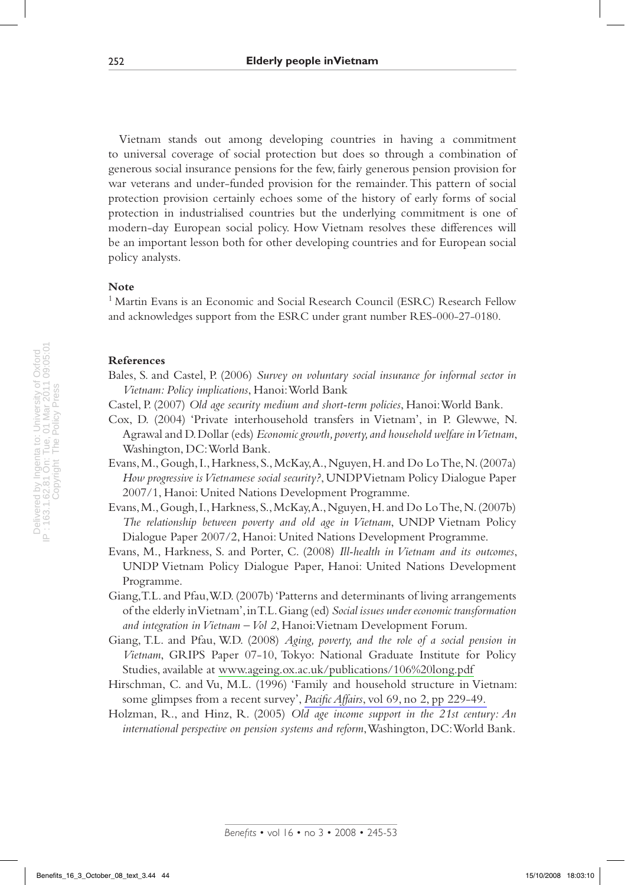Vietnam stands out among developing countries in having a commitment to universal coverage of social protection but does so through a combination of generous social insurance pensions for the few, fairly generous pension provision for war veterans and under-funded provision for the remainder. This pattern of social protection provision certainly echoes some of the history of early forms of social protection in industrialised countries but the underlying commitment is one of modern-day European social policy. How Vietnam resolves these differences will be an important lesson both for other developing countries and for European social policy analysts.

#### **Note**

<sup>1</sup> Martin Evans is an Economic and Social Research Council (ESRC) Research Fellow and acknowledges support from the ESRC under grant number RES-000-27-0180.

#### **References**

- Bales, S. and Castel, P. (2006) *Survey on voluntary social insurance for informal sector in Vietnam: Policy implications*, Hanoi: World Bank
- Castel, P. (2007) *Old age security medium and short-term policies*, Hanoi: World Bank.
- Cox, D. (2004) 'Private interhousehold transfers in Vietnam', in P. Glewwe, N. Agrawal and D. Dollar (eds) *Economic growth, poverty, and household welfare in Vietnam*, Washington, DC: World Bank.
- Evans, M., Gough, I., Harkness, S., McKay, A., Nguyen, H. and Do Lo The, N. (2007a) *How progressive is Vietnamese social security?*, UNDP Vietnam Policy Dialogue Paper 2007/1, Hanoi: United Nations Development Programme.
- Evans, M., Gough, I., Harkness, S., McKay, A., Nguyen, H. and Do Lo The, N. (2007b) *The relationship between poverty and old age in Vietnam*, UNDP Vietnam Policy Dialogue Paper 2007/2, Hanoi: United Nations Development Programme.
- Evans, M., Harkness, S. and Porter, C. (2008) *Ill-health in Vietnam and its outcomes*, UNDP Vietnam Policy Dialogue Paper, Hanoi: United Nations Development Programme.
- Giang, T.L. and Pfau, W.D. (2007b) 'Patterns and determinants of living arrangements of the elderly in Vietnam', in T.L. Giang (ed) *Social issues under economic transformation and integration in Vietnam – Vol 2*, Hanoi: Vietnam Development Forum.
- Giang, T.L. and Pfau, W.D. (2008) *Aging, poverty, and the role of a social pension in Vietnam*, GRIPS Paper 07-10, Tokyo: National Graduate Institute for Policy Studies, available at [www.ageing.ox.ac.uk/publications/106%20long.pdf](http://www.ageing.ox.ac.uk/publications/106%20long.pdf)
- Hirschman, C. and Vu, M.L. (1996) 'Family and household structure in Vietnam: some glimpses from a recent survey', *Pacific Affairs*[, vol 69, no 2, pp 229-49.](http://www.ingentaconnect.com/content/external-references?article=0030-851x()69:2L.229[aid=8510524])
- Holzman, R., and Hinz, R. (2005) *Old age income support in the 21st century: An international perspective on pension systems and reform*, Washington, DC: World Bank.